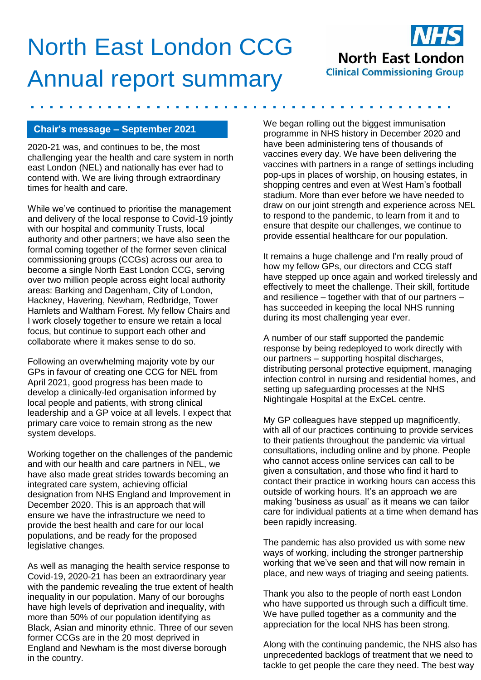## North East London CCG **North East London Clinical Commissioning Group** Annual report summary

## **Chair's message – September 2021**

2020-21 was, and continues to be, the most challenging year the health and care system in north east London (NEL) and nationally has ever had to contend with. We are living through extraordinary times for health and care.

While we've continued to prioritise the management and delivery of the local response to Covid-19 jointly with our hospital and community Trusts, local authority and other partners; we have also seen the formal coming together of the former seven clinical commissioning groups (CCGs) across our area to become a single North East London CCG, serving over two million people across eight local authority areas: Barking and Dagenham, City of London, Hackney, Havering, Newham, Redbridge, Tower Hamlets and Waltham Forest. My fellow Chairs and I work closely together to ensure we retain a local focus, but continue to support each other and collaborate where it makes sense to do so.

Following an overwhelming majority vote by our GPs in favour of creating one CCG for NEL from April 2021, good progress has been made to develop a clinically-led organisation informed by local people and patients, with strong clinical leadership and a GP voice at all levels. I expect that primary care voice to remain strong as the new system develops.

Working together on the challenges of the pandemic and with our health and care partners in NEL, we have also made great strides towards becoming an integrated care system, achieving official designation from NHS England and Improvement in December 2020. This is an approach that will ensure we have the infrastructure we need to provide the best health and care for our local populations, and be ready for the proposed legislative changes.

As well as managing the health service response to Covid-19, 2020-21 has been an extraordinary year with the pandemic revealing the true extent of health inequality in our population. Many of our boroughs have high levels of deprivation and inequality, with more than 50% of our population identifying as Black, Asian and minority ethnic. Three of our seven former CCGs are in the 20 most deprived in England and Newham is the most diverse borough in the country.

We began rolling out the biggest immunisation programme in NHS history in December 2020 and have been administering tens of thousands of vaccines every day. We have been delivering the vaccines with partners in a range of settings including pop-ups in places of worship, on housing estates, in shopping centres and even at West Ham's football stadium. More than ever before we have needed to draw on our joint strength and experience across NEL to respond to the pandemic, to learn from it and to ensure that despite our challenges, we continue to provide essential healthcare for our population.

It remains a huge challenge and I'm really proud of how my fellow GPs, our directors and CCG staff have stepped up once again and worked tirelessly and effectively to meet the challenge. Their skill, fortitude and resilience – together with that of our partners – has succeeded in keeping the local NHS running during its most challenging year ever.

A number of our staff supported the pandemic response by being redeployed to work directly with our partners – supporting hospital discharges, distributing personal protective equipment, managing infection control in nursing and residential homes, and setting up safeguarding processes at the NHS Nightingale Hospital at the ExCeL centre.

My GP colleagues have stepped up magnificently, with all of our practices continuing to provide services to their patients throughout the pandemic via virtual consultations, including online and by phone. People who cannot access online services can call to be given a consultation, and those who find it hard to contact their practice in working hours can access this outside of working hours. It's an approach we are making 'business as usual' as it means we can tailor care for individual patients at a time when demand has been rapidly increasing.

The pandemic has also provided us with some new ways of working, including the stronger partnership working that we've seen and that will now remain in place, and new ways of triaging and seeing patients.

Thank you also to the people of north east London who have supported us through such a difficult time. We have pulled together as a community and the appreciation for the local NHS has been strong.

Along with the continuing pandemic, the NHS also has unprecedented backlogs of treatment that we need to tackle to get people the care they need. The best way